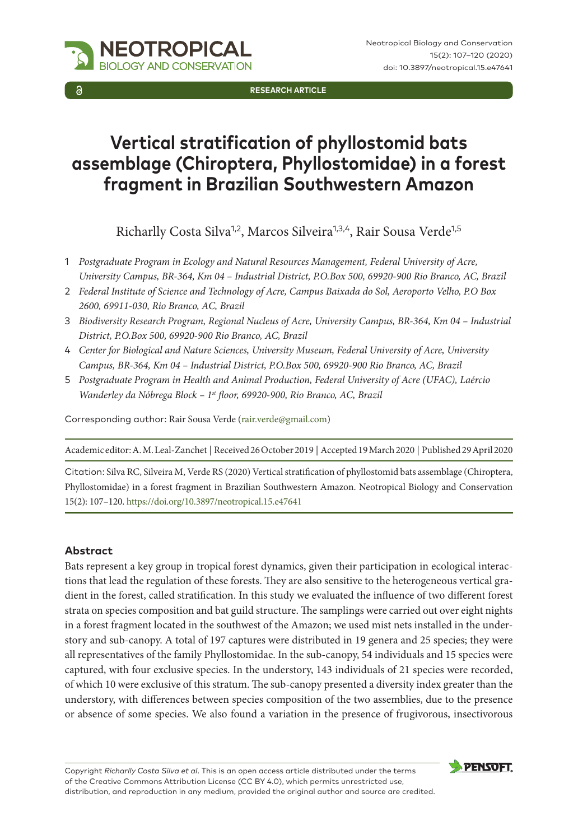**Research Article**

# **Vertical stratification of phyllostomid bats assemblage (Chiroptera, Phyllostomidae) in a forest fragment in Brazilian Southwestern Amazon**

Richarlly Costa Silva<sup>1,2</sup>, Marcos Silveira<sup>1,3,4</sup>, Rair Sousa Verde<sup>1,5</sup>

- 1 *Postgraduate Program in Ecology and Natural Resources Management, Federal University of Acre, University Campus, BR-364, Km 04 – Industrial District, P.O.Box 500, 69920-900 Rio Branco, AC, Brazil*
- 2 *Federal Institute of Science and Technology of Acre, Campus Baixada do Sol, Aeroporto Velho, P.O Box 2600, 69911-030, Rio Branco, AC, Brazil*
- 3 *Biodiversity Research Program, Regional Nucleus of Acre, University Campus, BR-364, Km 04 Industrial District, P.O.Box 500, 69920-900 Rio Branco, AC, Brazil*
- 4 *Center for Biological and Nature Sciences, University Museum, Federal University of Acre, University Campus, BR-364, Km 04 – Industrial District, P.O.Box 500, 69920-900 Rio Branco, AC, Brazil*
- 5 *Postgraduate Program in Health and Animal Production, Federal University of Acre (UFAC), Laércio Wanderley da Nóbrega Block – 1st floor, 69920-900, Rio Branco, AC, Brazil*

Corresponding author: Rair Sousa Verde [\(rair.verde@gmail.com\)](mailto:rair.verde@gmail.com)

**NEOTROPICAL** GY AND CONSERVATION

Academic editor: A. M. Leal-Zanchet | Received 26 October 2019 | Accepted 19 March 2020 | Published 29 April 2020

Citation: Silva RC, Silveira M, Verde RS (2020) Vertical stratification of phyllostomid bats assemblage (Chiroptera, Phyllostomidae) in a forest fragment in Brazilian Southwestern Amazon. Neotropical Biology and Conservation 15(2): 107–120. [https://doi.org/10.3897/neotropical.15.e47641](https://doi.org/%18)

#### **Abstract**

Bats represent a key group in tropical forest dynamics, given their participation in ecological interactions that lead the regulation of these forests. They are also sensitive to the heterogeneous vertical gradient in the forest, called stratification. In this study we evaluated the influence of two different forest strata on species composition and bat guild structure. The samplings were carried out over eight nights in a forest fragment located in the southwest of the Amazon; we used mist nets installed in the understory and sub-canopy. A total of 197 captures were distributed in 19 genera and 25 species; they were all representatives of the family Phyllostomidae. In the sub-canopy, 54 individuals and 15 species were captured, with four exclusive species. In the understory, 143 individuals of 21 species were recorded, of which 10 were exclusive of this stratum. The sub-canopy presented a diversity index greater than the understory, with differences between species composition of the two assemblies, due to the presence or absence of some species. We also found a variation in the presence of frugivorous, insectivorous

Copyright *Richarlly Costa Silva et al*. This is an open access article distributed under the terms of the [Creative Commons Attribution License \(CC BY 4.0\)](http://creativecommons.org/licenses/by/4.0/), which permits unrestricted use, distribution, and reproduction in any medium, provided the original author and source are credited.



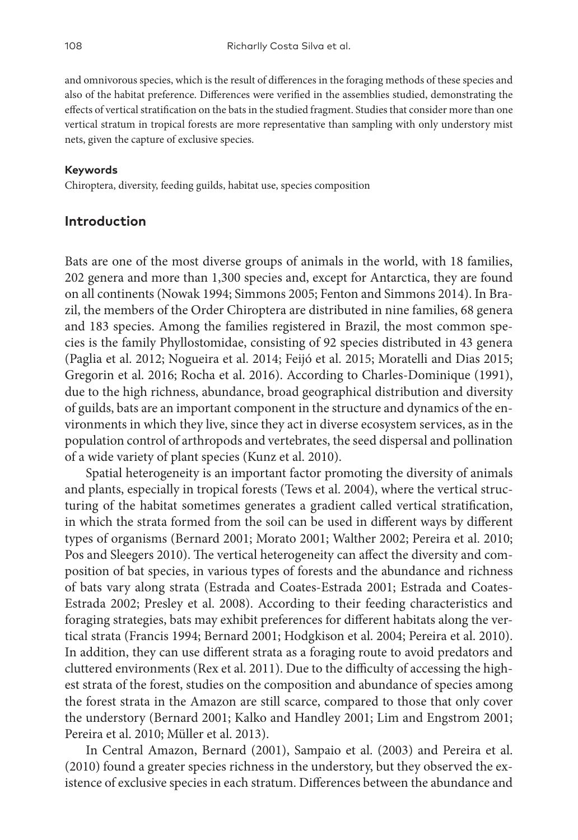and omnivorous species, which is the result of differences in the foraging methods of these species and also of the habitat preference. Differences were verified in the assemblies studied, demonstrating the effects of vertical stratification on the bats in the studied fragment. Studies that consider more than one vertical stratum in tropical forests are more representative than sampling with only understory mist nets, given the capture of exclusive species.

#### **Keywords**

Chiroptera, diversity, feeding guilds, habitat use, species composition

#### **Introduction**

Bats are one of the most diverse groups of animals in the world, with 18 families, 202 genera and more than 1,300 species and, except for Antarctica, they are found on all continents (Nowak 1994; Simmons 2005; Fenton and Simmons 2014). In Brazil, the members of the Order Chiroptera are distributed in nine families, 68 genera and 183 species. Among the families registered in Brazil, the most common species is the family Phyllostomidae, consisting of 92 species distributed in 43 genera (Paglia et al. 2012; Nogueira et al. 2014; Feijó et al. 2015; Moratelli and Dias 2015; Gregorin et al. 2016; Rocha et al. 2016). According to Charles-Dominique (1991), due to the high richness, abundance, broad geographical distribution and diversity of guilds, bats are an important component in the structure and dynamics of the environments in which they live, since they act in diverse ecosystem services, as in the population control of arthropods and vertebrates, the seed dispersal and pollination of a wide variety of plant species (Kunz et al. 2010).

Spatial heterogeneity is an important factor promoting the diversity of animals and plants, especially in tropical forests (Tews et al. 2004), where the vertical structuring of the habitat sometimes generates a gradient called vertical stratification, in which the strata formed from the soil can be used in different ways by different types of organisms (Bernard 2001; Morato 2001; Walther 2002; Pereira et al. 2010; Pos and Sleegers 2010). The vertical heterogeneity can affect the diversity and composition of bat species, in various types of forests and the abundance and richness of bats vary along strata (Estrada and Coates-Estrada 2001; Estrada and Coates-Estrada 2002; Presley et al. 2008). According to their feeding characteristics and foraging strategies, bats may exhibit preferences for different habitats along the vertical strata (Francis 1994; Bernard 2001; Hodgkison et al. 2004; Pereira et al. 2010). In addition, they can use different strata as a foraging route to avoid predators and cluttered environments (Rex et al. 2011). Due to the difficulty of accessing the highest strata of the forest, studies on the composition and abundance of species among the forest strata in the Amazon are still scarce, compared to those that only cover the understory (Bernard 2001; Kalko and Handley 2001; Lim and Engstrom 2001; Pereira et al. 2010; Müller et al. 2013).

In Central Amazon, Bernard (2001), Sampaio et al. (2003) and Pereira et al. (2010) found a greater species richness in the understory, but they observed the existence of exclusive species in each stratum. Differences between the abundance and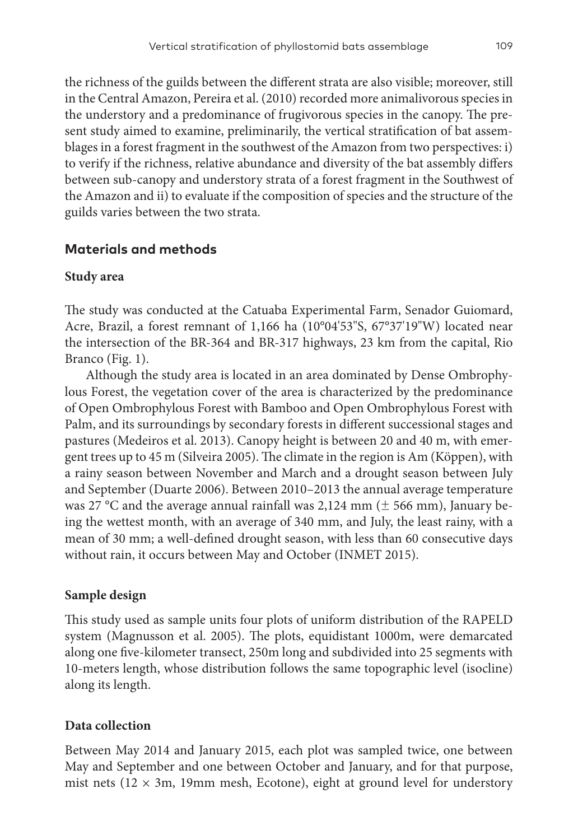the richness of the guilds between the different strata are also visible; moreover, still in the Central Amazon, Pereira et al. (2010) recorded more animalivorous species in the understory and a predominance of frugivorous species in the canopy. The present study aimed to examine, preliminarily, the vertical stratification of bat assemblages in a forest fragment in the southwest of the Amazon from two perspectives: i) to verify if the richness, relative abundance and diversity of the bat assembly differs between sub-canopy and understory strata of a forest fragment in the Southwest of the Amazon and ii) to evaluate if the composition of species and the structure of the guilds varies between the two strata.

# **Materials and methods**

### **Study area**

The study was conducted at the Catuaba Experimental Farm, Senador Guiomard, Acre, Brazil, a forest remnant of 1,166 ha (10°04'53"S, 67°37'19"W) located near the intersection of the BR-364 and BR-317 highways, 23 km from the capital, Rio Branco (Fig. 1).

Although the study area is located in an area dominated by Dense Ombrophylous Forest, the vegetation cover of the area is characterized by the predominance of Open Ombrophylous Forest with Bamboo and Open Ombrophylous Forest with Palm, and its surroundings by secondary forests in different successional stages and pastures (Medeiros et al. 2013). Canopy height is between 20 and 40 m, with emergent trees up to 45 m (Silveira 2005). The climate in the region is Am (Köppen), with a rainy season between November and March and a drought season between July and September (Duarte 2006). Between 2010–2013 the annual average temperature was 27 °C and the average annual rainfall was 2,124 mm ( $\pm$  566 mm), January being the wettest month, with an average of 340 mm, and July, the least rainy, with a mean of 30 mm; a well-defined drought season, with less than 60 consecutive days without rain, it occurs between May and October (INMET 2015).

# **Sample design**

This study used as sample units four plots of uniform distribution of the RAPELD system (Magnusson et al. 2005). The plots, equidistant 1000m, were demarcated along one five-kilometer transect, 250m long and subdivided into 25 segments with 10-meters length, whose distribution follows the same topographic level (isocline) along its length.

# **Data collection**

Between May 2014 and January 2015, each plot was sampled twice, one between May and September and one between October and January, and for that purpose, mist nets ( $12 \times 3$ m, 19mm mesh, Ecotone), eight at ground level for understory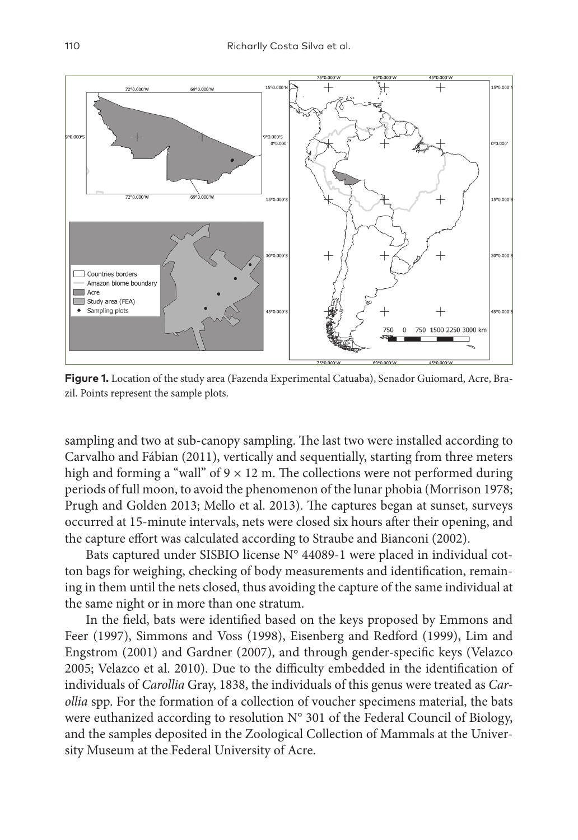

**Figure 1.** Location of the study area (Fazenda Experimental Catuaba), Senador Guiomard, Acre, Brazil. Points represent the sample plots.

sampling and two at sub-canopy sampling. The last two were installed according to Carvalho and Fábian (2011), vertically and sequentially, starting from three meters high and forming a "wall" of  $9 \times 12$  m. The collections were not performed during periods of full moon, to avoid the phenomenon of the lunar phobia (Morrison 1978; Prugh and Golden 2013; Mello et al. 2013). The captures began at sunset, surveys occurred at 15-minute intervals, nets were closed six hours after their opening, and the capture effort was calculated according to Straube and Bianconi (2002).

Bats captured under SISBIO license N° 44089-1 were placed in individual cotton bags for weighing, checking of body measurements and identification, remaining in them until the nets closed, thus avoiding the capture of the same individual at the same night or in more than one stratum.

In the field, bats were identified based on the keys proposed by Emmons and Feer (1997), Simmons and Voss (1998), Eisenberg and Redford (1999), Lim and Engstrom (2001) and Gardner (2007), and through gender-specific keys (Velazco 2005; Velazco et al. 2010). Due to the difficulty embedded in the identification of individuals of *Carollia* Gray, 1838, the individuals of this genus were treated as *Carollia* spp. For the formation of a collection of voucher specimens material, the bats were euthanized according to resolution N° 301 of the Federal Council of Biology, and the samples deposited in the Zoological Collection of Mammals at the University Museum at the Federal University of Acre.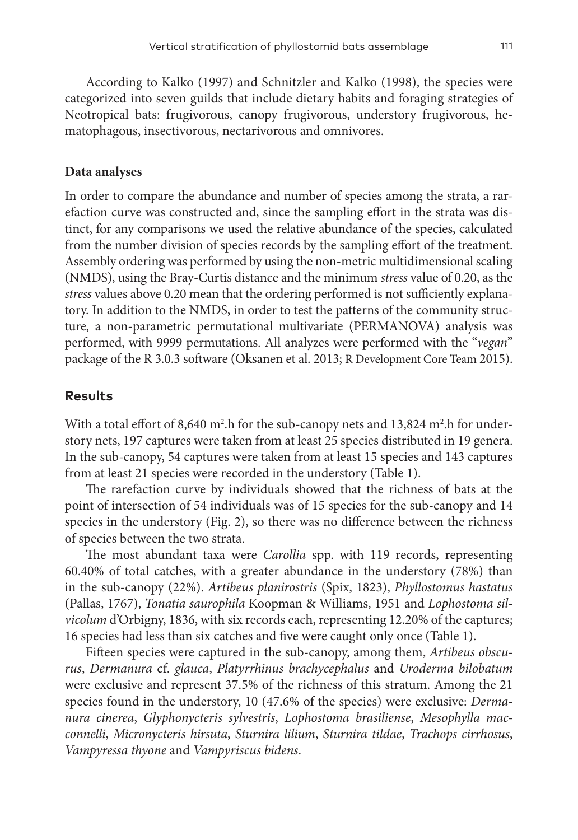According to Kalko (1997) and Schnitzler and Kalko (1998), the species were categorized into seven guilds that include dietary habits and foraging strategies of Neotropical bats: frugivorous, canopy frugivorous, understory frugivorous, hematophagous, insectivorous, nectarivorous and omnivores.

#### **Data analyses**

In order to compare the abundance and number of species among the strata, a rarefaction curve was constructed and, since the sampling effort in the strata was distinct, for any comparisons we used the relative abundance of the species, calculated from the number division of species records by the sampling effort of the treatment. Assembly ordering was performed by using the non-metric multidimensional scaling (NMDS), using the Bray-Curtis distance and the minimum *stress* value of 0.20, as the *stress* values above 0.20 mean that the ordering performed is not sufficiently explanatory. In addition to the NMDS, in order to test the patterns of the community structure, a non-parametric permutational multivariate (PERMANOVA) analysis was performed, with 9999 permutations. All analyzes were performed with the "*vegan*" package of the R 3.0.3 software (Oksanen et al. 2013; R Development Core Team 2015).

#### **Results**

With a total effort of 8,640 m<sup>2</sup>.h for the sub-canopy nets and 13,824 m<sup>2</sup>.h for understory nets, 197 captures were taken from at least 25 species distributed in 19 genera. In the sub-canopy, 54 captures were taken from at least 15 species and 143 captures from at least 21 species were recorded in the understory (Table 1).

The rarefaction curve by individuals showed that the richness of bats at the point of intersection of 54 individuals was of 15 species for the sub-canopy and 14 species in the understory (Fig. 2), so there was no difference between the richness of species between the two strata.

The most abundant taxa were *Carollia* spp. with 119 records, representing 60.40% of total catches, with a greater abundance in the understory (78%) than in the sub-canopy (22%). *Artibeus planirostris* (Spix, 1823), *Phyllostomus hastatus* (Pallas, 1767), *Tonatia saurophila* Koopman & Williams, 1951 and *Lophostoma silvicolum* d'Orbigny, 1836, with six records each, representing 12.20% of the captures; 16 species had less than six catches and five were caught only once (Table 1).

Fifteen species were captured in the sub-canopy, among them, *Artibeus obscurus*, *Dermanura* cf. *glauca*, *Platyrrhinus brachycephalus* and *Uroderma bilobatum* were exclusive and represent 37.5% of the richness of this stratum. Among the 21 species found in the understory, 10 (47.6% of the species) were exclusive: *Dermanura cinerea*, *Glyphonycteris sylvestris*, *Lophostoma brasiliense*, *Mesophylla macconnelli*, *Micronycteris hirsuta*, *Sturnira lilium*, *Sturnira tildae*, *Trachops cirrhosus*, *Vampyressa thyone* and *Vampyriscus bidens*.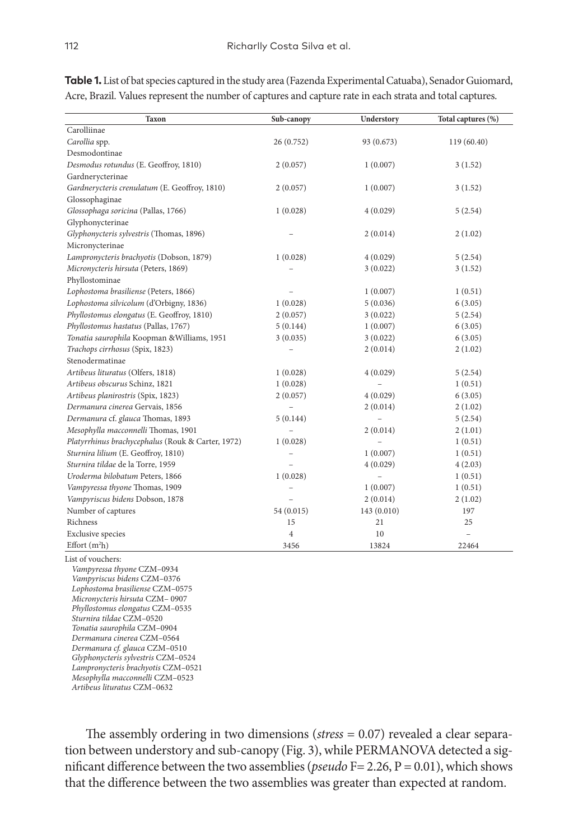| Taxon                                             | Sub-canopy | Understory               | Total captures (%) |
|---------------------------------------------------|------------|--------------------------|--------------------|
| Carolliinae                                       |            |                          |                    |
| Carollia spp.                                     | 26(0.752)  | 93 (0.673)               | 119 (60.40)        |
| Desmodontinae                                     |            |                          |                    |
| Desmodus rotundus (E. Geoffroy, 1810)             | 2(0.057)   | 1(0.007)                 | 3(1.52)            |
| Gardnerycterinae                                  |            |                          |                    |
| Gardnerycteris crenulatum (E. Geoffroy, 1810)     | 2(0.057)   | 1(0.007)                 | 3(1.52)            |
| Glossophaginae                                    |            |                          |                    |
| Glossophaga soricina (Pallas, 1766)               | 1(0.028)   | 4(0.029)                 | 5(2.54)            |
| Glyphonycterinae                                  |            |                          |                    |
| Glyphonycteris sylvestris (Thomas, 1896)          |            | 2(0.014)                 | 2(1.02)            |
| Micronycterinae                                   |            |                          |                    |
| Lampronycteris brachyotis (Dobson, 1879)          | 1(0.028)   | 4(0.029)                 | 5(2.54)            |
| Micronycteris hirsuta (Peters, 1869)              |            | 3(0.022)                 | 3 (1.52)           |
| Phyllostominae                                    |            |                          |                    |
| Lophostoma brasiliense (Peters, 1866)             |            | 1(0.007)                 | 1(0.51)            |
| Lophostoma silvicolum (d'Orbigny, 1836)           | 1(0.028)   | 5(0.036)                 | 6(3.05)            |
| Phyllostomus elongatus (E. Geoffroy, 1810)        | 2(0.057)   | 3(0.022)                 | 5(2.54)            |
| Phyllostomus hastatus (Pallas, 1767)              | 5(0.144)   | 1(0.007)                 | 6(3.05)            |
| Tonatia saurophila Koopman & Williams, 1951       | 3(0.035)   | 3(0.022)                 | 6(3.05)            |
| Trachops cirrhosus (Spix, 1823)                   |            | 2(0.014)                 | 2(1.02)            |
| Stenodermatinae                                   |            |                          |                    |
| Artibeus lituratus (Olfers, 1818)                 | 1(0.028)   | 4(0.029)                 | 5(2.54)            |
| Artibeus obscurus Schinz, 1821                    | 1(0.028)   | $\overline{\phantom{0}}$ | 1(0.51)            |
| Artibeus planirostris (Spix, 1823)                | 2(0.057)   | 4(0.029)                 | 6(3.05)            |
| Dermanura cinerea Gervais, 1856                   |            | 2(0.014)                 | 2(1.02)            |
| Dermanura cf. glauca Thomas, 1893                 | 5(0.144)   |                          | 5(2.54)            |
| Mesophylla macconnelli Thomas, 1901               |            | 2(0.014)                 | 2(1.01)            |
| Platyrrhinus brachycephalus (Rouk & Carter, 1972) | 1(0.028)   |                          | 1(0.51)            |
| Sturnira lilium (E. Geoffroy, 1810)               |            | 1(0.007)                 | 1(0.51)            |
| Sturnira tildae de la Torre, 1959                 |            | 4(0.029)                 | 4(2.03)            |
| Uroderma bilobatum Peters, 1866                   | 1(0.028)   | $\overline{\phantom{0}}$ | 1(0.51)            |
| Vampyressa thyone Thomas, 1909                    |            | 1(0.007)                 | 1(0.51)            |
| Vampyriscus bidens Dobson, 1878                   |            | 2(0.014)                 | 2(1.02)            |
| Number of captures                                | 54 (0.015) | 143 (0.010)              | 197                |
| Richness                                          | 15         | 21                       | 25                 |
| <b>Exclusive species</b>                          | 4          | 10                       | $\overline{a}$     |
| Effort $(m2h)$                                    | 3456       | 13824                    | 22464              |

**Table 1.** List of bat species captured in the study area (Fazenda Experimental Catuaba), Senador Guiomard, Acre, Brazil. Values represent the number of captures and capture rate in each strata and total captures.

*Vampyriscus bidens* CZM–0376 *Lophostoma brasiliense* CZM–0575 *Micronycteris hirsuta* CZM– 0907 *Phyllostomus elongatus* CZM–0535 *Sturnira tildae* CZM–0520 *Tonatia saurophila* CZM–0904 *Dermanura cinerea* CZM–0564 *Dermanura cf. glauca* CZM–0510 *Glyphonycteris sylvestris* CZM–0524 *Lampronycteris brachyotis* CZM–0521 *Mesophylla macconnelli* CZM–0523 *Artibeus lituratus* CZM–0632

The assembly ordering in two dimensions (*stress* = 0.07) revealed a clear separation between understory and sub-canopy (Fig. 3), while PERMANOVA detected a significant difference between the two assemblies (*pseudo* F= 2.26, P = 0.01), which shows that the difference between the two assemblies was greater than expected at random.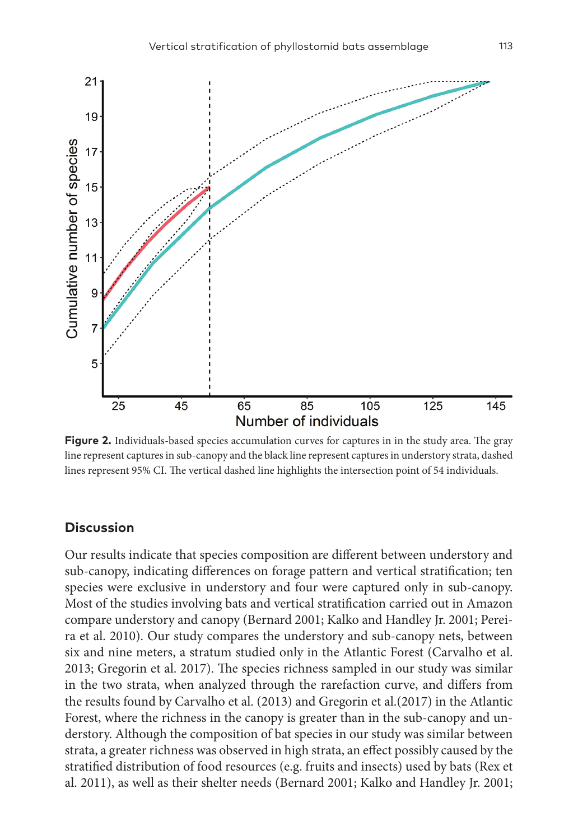

**Figure 2.** Individuals-based species accumulation curves for captures in in the study area. The gray line represent captures in sub-canopy and the black line represent captures in understory strata, dashed lines represent 95% CI. The vertical dashed line highlights the intersection point of 54 individuals.

#### **Discussion**

Our results indicate that species composition are different between understory and sub-canopy, indicating differences on forage pattern and vertical stratification; ten species were exclusive in understory and four were captured only in sub-canopy. Most of the studies involving bats and vertical stratification carried out in Amazon compare understory and canopy (Bernard 2001; Kalko and Handley Jr. 2001; Pereira et al. 2010). Our study compares the understory and sub-canopy nets, between six and nine meters, a stratum studied only in the Atlantic Forest (Carvalho et al. 2013; Gregorin et al. 2017). The species richness sampled in our study was similar in the two strata, when analyzed through the rarefaction curve, and differs from the results found by Carvalho et al. (2013) and Gregorin et al.(2017) in the Atlantic Forest, where the richness in the canopy is greater than in the sub-canopy and understory. Although the composition of bat species in our study was similar between strata, a greater richness was observed in high strata, an effect possibly caused by the stratified distribution of food resources (e.g. fruits and insects) used by bats (Rex et al. 2011), as well as their shelter needs (Bernard 2001; Kalko and Handley Jr. 2001;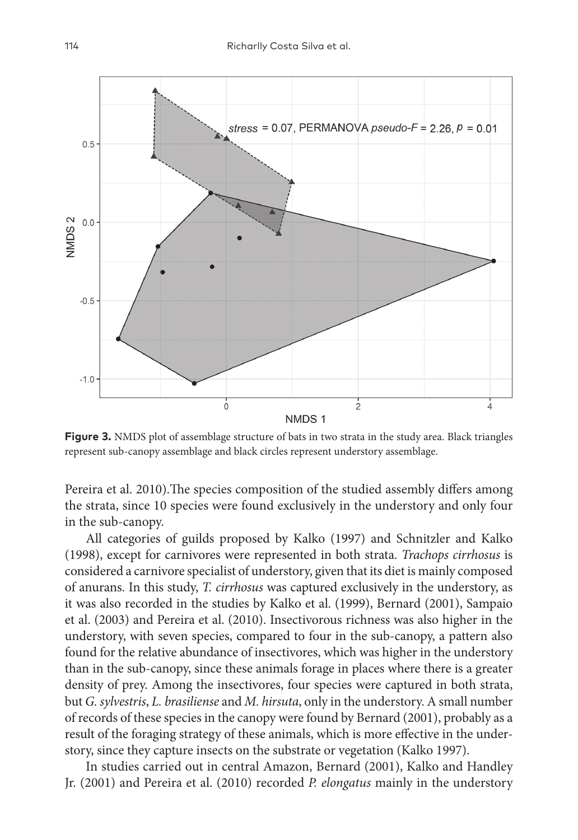

**Figure 3.** NMDS plot of assemblage structure of bats in two strata in the study area. Black triangles represent sub-canopy assemblage and black circles represent understory assemblage.

Pereira et al. 2010).The species composition of the studied assembly differs among the strata, since 10 species were found exclusively in the understory and only four in the sub-canopy.

All categories of guilds proposed by Kalko (1997) and Schnitzler and Kalko (1998), except for carnivores were represented in both strata. *Trachops cirrhosus* is considered a carnivore specialist of understory, given that its diet is mainly composed of anurans. In this study, *T. cirrhosus* was captured exclusively in the understory, as it was also recorded in the studies by Kalko et al. (1999), Bernard (2001), Sampaio et al. (2003) and Pereira et al. (2010). Insectivorous richness was also higher in the understory, with seven species, compared to four in the sub-canopy, a pattern also found for the relative abundance of insectivores, which was higher in the understory than in the sub-canopy, since these animals forage in places where there is a greater density of prey. Among the insectivores, four species were captured in both strata, but *G. sylvestris*, *L. brasiliense* and *M. hirsuta*, only in the understory. A small number of records of these species in the canopy were found by Bernard (2001), probably as a result of the foraging strategy of these animals, which is more effective in the understory, since they capture insects on the substrate or vegetation (Kalko 1997).

In studies carried out in central Amazon, Bernard (2001), Kalko and Handley Jr. (2001) and Pereira et al. (2010) recorded *P. elongatus* mainly in the understory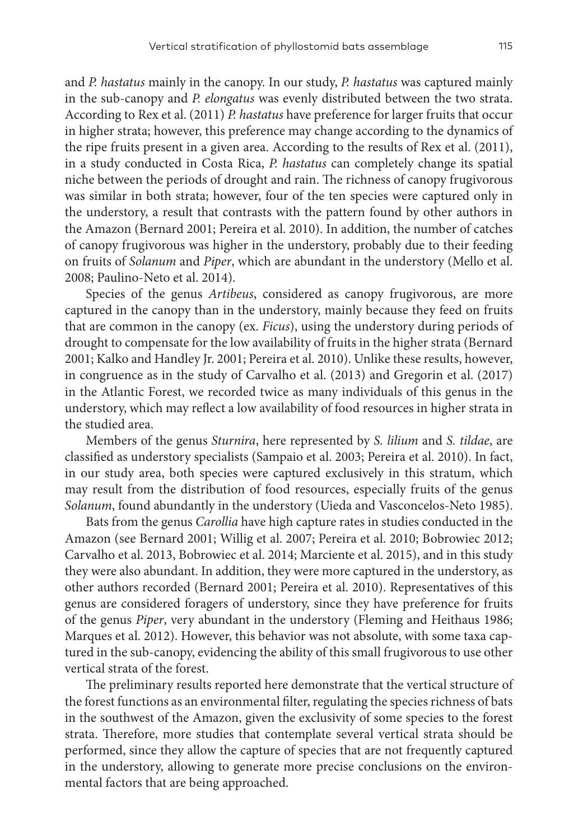and *P. hastatus* mainly in the canopy. In our study, *P. hastatus* was captured mainly in the sub-canopy and *P. elongatus* was evenly distributed between the two strata. According to Rex et al. (2011) *P. hastatus* have preference for larger fruits that occur in higher strata; however, this preference may change according to the dynamics of the ripe fruits present in a given area. According to the results of Rex et al. (2011), in a study conducted in Costa Rica, *P. hastatus* can completely change its spatial niche between the periods of drought and rain. The richness of canopy frugivorous was similar in both strata; however, four of the ten species were captured only in the understory, a result that contrasts with the pattern found by other authors in the Amazon (Bernard 2001; Pereira et al. 2010). In addition, the number of catches of canopy frugivorous was higher in the understory, probably due to their feeding on fruits of *Solanum* and *Piper*, which are abundant in the understory (Mello et al. 2008; Paulino-Neto et al. 2014).

Species of the genus *Artibeus*, considered as canopy frugivorous, are more captured in the canopy than in the understory, mainly because they feed on fruits that are common in the canopy (ex. *Ficus*), using the understory during periods of drought to compensate for the low availability of fruits in the higher strata (Bernard 2001; Kalko and Handley Jr. 2001; Pereira et al. 2010). Unlike these results, however, in congruence as in the study of Carvalho et al. (2013) and Gregorin et al. (2017) in the Atlantic Forest, we recorded twice as many individuals of this genus in the understory, which may reflect a low availability of food resources in higher strata in the studied area.

Members of the genus *Sturnira*, here represented by *S. lilium* and *S. tildae*, are classified as understory specialists (Sampaio et al. 2003; Pereira et al. 2010). In fact, in our study area, both species were captured exclusively in this stratum, which may result from the distribution of food resources, especially fruits of the genus *Solanum*, found abundantly in the understory (Uieda and Vasconcelos-Neto 1985).

Bats from the genus *Carollia* have high capture rates in studies conducted in the Amazon (see Bernard 2001; Willig et al. 2007; Pereira et al. 2010; Bobrowiec 2012; Carvalho et al. 2013, Bobrowiec et al. 2014; Marciente et al. 2015), and in this study they were also abundant. In addition, they were more captured in the understory, as other authors recorded (Bernard 2001; Pereira et al. 2010). Representatives of this genus are considered foragers of understory, since they have preference for fruits of the genus *Piper*, very abundant in the understory (Fleming and Heithaus 1986; Marques et al. 2012). However, this behavior was not absolute, with some taxa captured in the sub-canopy, evidencing the ability of this small frugivorous to use other vertical strata of the forest.

The preliminary results reported here demonstrate that the vertical structure of the forest functions as an environmental filter, regulating the species richness of bats in the southwest of the Amazon, given the exclusivity of some species to the forest strata. Therefore, more studies that contemplate several vertical strata should be performed, since they allow the capture of species that are not frequently captured in the understory, allowing to generate more precise conclusions on the environmental factors that are being approached.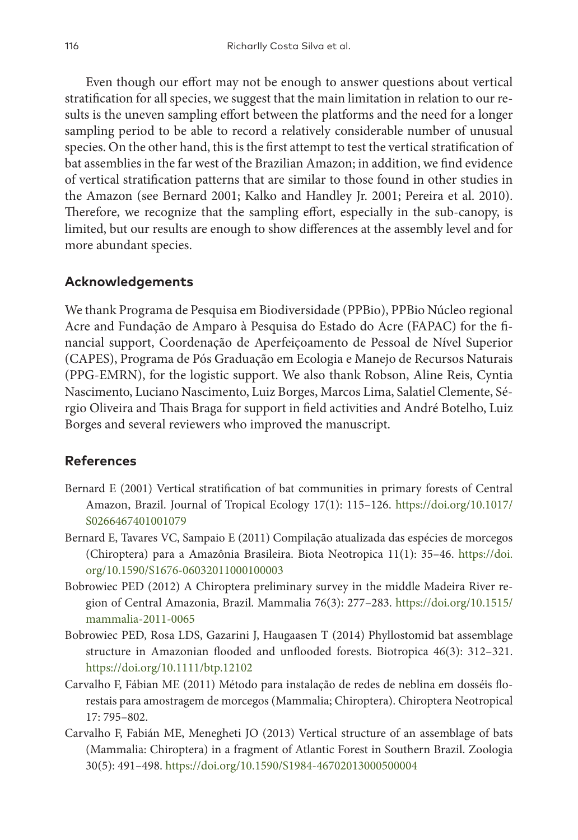Even though our effort may not be enough to answer questions about vertical stratification for all species, we suggest that the main limitation in relation to our results is the uneven sampling effort between the platforms and the need for a longer sampling period to be able to record a relatively considerable number of unusual species. On the other hand, this is the first attempt to test the vertical stratification of bat assemblies in the far west of the Brazilian Amazon; in addition, we find evidence of vertical stratification patterns that are similar to those found in other studies in the Amazon (see Bernard 2001; Kalko and Handley Jr. 2001; Pereira et al. 2010). Therefore, we recognize that the sampling effort, especially in the sub-canopy, is limited, but our results are enough to show differences at the assembly level and for more abundant species.

# **Acknowledgements**

We thank Programa de Pesquisa em Biodiversidade (PPBio), PPBio Núcleo regional Acre and Fundação de Amparo à Pesquisa do Estado do Acre (FAPAC) for the financial support, Coordenação de Aperfeiçoamento de Pessoal de Nível Superior (CAPES), Programa de Pós Graduação em Ecologia e Manejo de Recursos Naturais (PPG-EMRN), for the logistic support. We also thank Robson, Aline Reis, Cyntia Nascimento, Luciano Nascimento, Luiz Borges, Marcos Lima, Salatiel Clemente, Sérgio Oliveira and Thais Braga for support in field activities and André Botelho, Luiz Borges and several reviewers who improved the manuscript.

# **References**

- Bernard E (2001) Vertical stratification of bat communities in primary forests of Central Amazon, Brazil. Journal of Tropical Ecology 17(1): 115–126. [https://doi.org/10.1017/](https://doi.org/10.1017/S0266467401001079) [S0266467401001079](https://doi.org/10.1017/S0266467401001079)
- Bernard E, Tavares VC, Sampaio E (2011) Compilação atualizada das espécies de morcegos (Chiroptera) para a Amazônia Brasileira. Biota Neotropica 11(1): 35–46. [https://doi.](https://doi.org/10.1590/S1676-06032011000100003) [org/10.1590/S1676-06032011000100003](https://doi.org/10.1590/S1676-06032011000100003)
- Bobrowiec PED (2012) A Chiroptera preliminary survey in the middle Madeira River region of Central Amazonia, Brazil. Mammalia 76(3): 277–283. [https://doi.org/10.1515/](https://doi.org/10.1515/mammalia-2011-0065) [mammalia-2011-0065](https://doi.org/10.1515/mammalia-2011-0065)
- Bobrowiec PED, Rosa LDS, Gazarini J, Haugaasen T (2014) Phyllostomid bat assemblage structure in Amazonian flooded and unflooded forests. Biotropica 46(3): 312–321. <https://doi.org/10.1111/btp.12102>
- Carvalho F, Fábian ME (2011) Método para instalação de redes de neblina em dosséis florestais para amostragem de morcegos (Mammalia; Chiroptera). Chiroptera Neotropical 17: 795–802.
- Carvalho F, Fabián ME, Menegheti JO (2013) Vertical structure of an assemblage of bats (Mammalia: Chiroptera) in a fragment of Atlantic Forest in Southern Brazil. Zoologia 30(5): 491–498. <https://doi.org/10.1590/S1984-46702013000500004>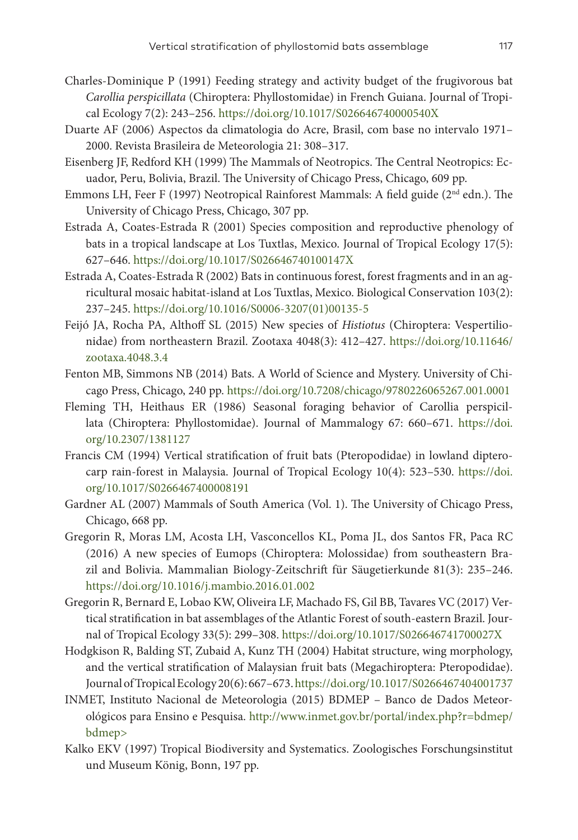- Charles-Dominique P (1991) Feeding strategy and activity budget of the frugivorous bat *Carollia perspicillata* (Chiroptera: Phyllostomidae) in French Guiana. Journal of Tropical Ecology 7(2): 243–256. <https://doi.org/10.1017/S026646740000540X>
- Duarte AF (2006) Aspectos da climatologia do Acre, Brasil, com base no intervalo 1971– 2000. Revista Brasileira de Meteorologia 21: 308–317.
- Eisenberg JF, Redford KH (1999) The Mammals of Neotropics. The Central Neotropics: Ecuador, Peru, Bolivia, Brazil. The University of Chicago Press, Chicago, 609 pp.
- Emmons LH, Feer F (1997) Neotropical Rainforest Mammals: A field guide ( $2<sup>nd</sup>$  edn.). The University of Chicago Press, Chicago, 307 pp.
- Estrada A, Coates-Estrada R (2001) Species composition and reproductive phenology of bats in a tropical landscape at Los Tuxtlas, Mexico. Journal of Tropical Ecology 17(5): 627–646. <https://doi.org/10.1017/S026646740100147X>
- Estrada A, Coates-Estrada R (2002) Bats in continuous forest, forest fragments and in an agricultural mosaic habitat-island at Los Tuxtlas, Mexico. Biological Conservation 103(2): 237–245. [https://doi.org/10.1016/S0006-3207\(01\)00135-5](https://doi.org/10.1016/S0006-3207(01)00135-5)
- Feijó JA, Rocha PA, Althoff SL (2015) New species of *Histiotus* (Chiroptera: Vespertilionidae) from northeastern Brazil. Zootaxa 4048(3): 412–427. [https://doi.org/10.11646/](https://doi.org/10.11646/zootaxa.4048.3.4) [zootaxa.4048.3.4](https://doi.org/10.11646/zootaxa.4048.3.4)
- Fenton MB, Simmons NB (2014) Bats. A World of Science and Mystery. University of Chicago Press, Chicago, 240 pp. <https://doi.org/10.7208/chicago/9780226065267.001.0001>
- Fleming TH, Heithaus ER (1986) Seasonal foraging behavior of Carollia perspicillata (Chiroptera: Phyllostomidae). Journal of Mammalogy 67: 660–671. [https://doi.](https://doi.org/10.2307/1381127) [org/10.2307/1381127](https://doi.org/10.2307/1381127)
- Francis CM (1994) Vertical stratification of fruit bats (Pteropodidae) in lowland dipterocarp rain-forest in Malaysia. Journal of Tropical Ecology 10(4): 523–530. [https://doi.](https://doi.org/10.1017/S0266467400008191) [org/10.1017/S0266467400008191](https://doi.org/10.1017/S0266467400008191)
- Gardner AL (2007) Mammals of South America (Vol. 1). The University of Chicago Press, Chicago, 668 pp.
- Gregorin R, Moras LM, Acosta LH, Vasconcellos KL, Poma JL, dos Santos FR, Paca RC (2016) A new species of Eumops (Chiroptera: Molossidae) from southeastern Brazil and Bolivia. Mammalian Biology-Zeitschrift für Säugetierkunde 81(3): 235–246. <https://doi.org/10.1016/j.mambio.2016.01.002>
- Gregorin R, Bernard E, Lobao KW, Oliveira LF, Machado FS, Gil BB, Tavares VC (2017) Vertical stratification in bat assemblages of the Atlantic Forest of south-eastern Brazil. Journal of Tropical Ecology 33(5): 299–308.<https://doi.org/10.1017/S026646741700027X>
- Hodgkison R, Balding ST, Zubaid A, Kunz TH (2004) Habitat structure, wing morphology, and the vertical stratification of Malaysian fruit bats (Megachiroptera: Pteropodidae). Journal of Tropical Ecology 20(6): 667–673.<https://doi.org/10.1017/S0266467404001737>
- INMET, Instituto Nacional de Meteorologia (2015) BDMEP Banco de Dados Meteorológicos para Ensino e Pesquisa. [http://www.inmet.gov.br/portal/index.php?r=bdmep/](http://www.inmet.gov.br/portal/index.php?r=bdmep/bdmep) [bdmep>](http://www.inmet.gov.br/portal/index.php?r=bdmep/bdmep)
- Kalko EKV (1997) Tropical Biodiversity and Systematics. Zoologisches Forschungsinstitut und Museum König, Bonn, 197 pp.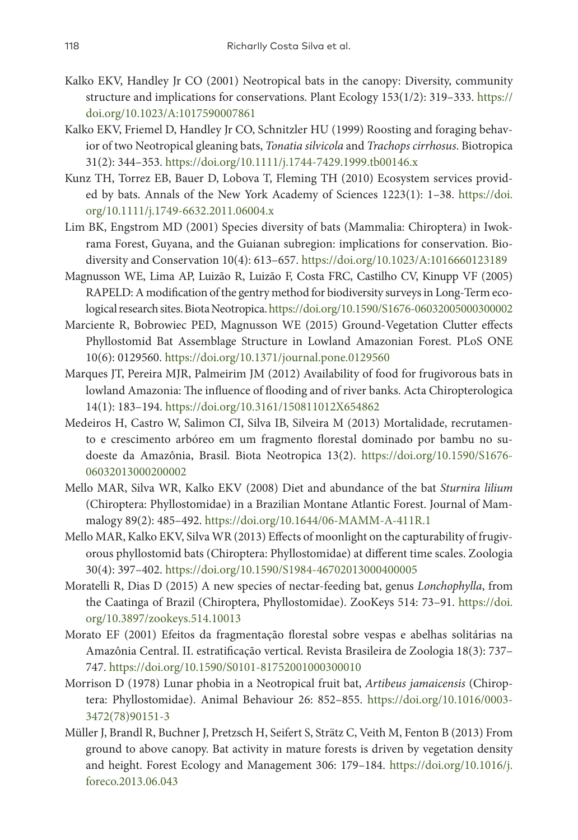- Kalko EKV, Handley Jr CO (2001) Neotropical bats in the canopy: Diversity, community structure and implications for conservations. Plant Ecology 153(1/2): 319–333. [https://](https://doi.org/10.1023/A:1017590007861) [doi.org/10.1023/A:1017590007861](https://doi.org/10.1023/A:1017590007861)
- Kalko EKV, Friemel D, Handley Jr CO, Schnitzler HU (1999) Roosting and foraging behavior of two Neotropical gleaning bats, *Tonatia silvicola* and *Trachops cirrhosus*. Biotropica 31(2): 344–353. <https://doi.org/10.1111/j.1744-7429.1999.tb00146.x>
- Kunz TH, Torrez EB, Bauer D, Lobova T, Fleming TH (2010) Ecosystem services provided by bats. Annals of the New York Academy of Sciences 1223(1): 1–38. [https://doi.](https://doi.org/10.1111/j.1749-6632.2011.06004.x) [org/10.1111/j.1749-6632.2011.06004.x](https://doi.org/10.1111/j.1749-6632.2011.06004.x)
- Lim BK, Engstrom MD (2001) Species diversity of bats (Mammalia: Chiroptera) in Iwokrama Forest, Guyana, and the Guianan subregion: implications for conservation. Biodiversity and Conservation 10(4): 613–657.<https://doi.org/10.1023/A:1016660123189>
- Magnusson WE, Lima AP, Luizão R, Luizão F, Costa FRC, Castilho CV, Kinupp VF (2005) RAPELD: A modification of the gentry method for biodiversity surveys in Long-Term ecological research sites. Biota Neotropica.<https://doi.org/10.1590/S1676-06032005000300002>
- Marciente R, Bobrowiec PED, Magnusson WE (2015) Ground-Vegetation Clutter effects Phyllostomid Bat Assemblage Structure in Lowland Amazonian Forest. PLoS ONE 10(6): 0129560.<https://doi.org/10.1371/journal.pone.0129560>
- Marques JT, Pereira MJR, Palmeirim JM (2012) Availability of food for frugivorous bats in lowland Amazonia: The influence of flooding and of river banks. Acta Chiropterologica 14(1): 183–194. <https://doi.org/10.3161/150811012X654862>
- Medeiros H, Castro W, Salimon CI, Silva IB, Silveira M (2013) Mortalidade, recrutamento e crescimento arbóreo em um fragmento florestal dominado por bambu no sudoeste da Amazônia, Brasil. Biota Neotropica 13(2). [https://doi.org/10.1590/S1676-](https://doi.org/10.1590/S1676-06032013000200002) [06032013000200002](https://doi.org/10.1590/S1676-06032013000200002)
- Mello MAR, Silva WR, Kalko EKV (2008) Diet and abundance of the bat *Sturnira lilium* (Chiroptera: Phyllostomidae) in a Brazilian Montane Atlantic Forest. Journal of Mammalogy 89(2): 485–492. <https://doi.org/10.1644/06-MAMM-A-411R.1>
- Mello MAR, Kalko EKV, Silva WR (2013) Effects of moonlight on the capturability of frugivorous phyllostomid bats (Chiroptera: Phyllostomidae) at different time scales. Zoologia 30(4): 397–402. <https://doi.org/10.1590/S1984-46702013000400005>
- Moratelli R, Dias D (2015) A new species of nectar-feeding bat, genus *Lonchophylla*, from the Caatinga of Brazil (Chiroptera, Phyllostomidae). ZooKeys 514: 73–91. [https://doi.](https://doi.org/10.3897/zookeys.514.10013) [org/10.3897/zookeys.514.10013](https://doi.org/10.3897/zookeys.514.10013)
- Morato EF (2001) Efeitos da fragmentação florestal sobre vespas e abelhas solitárias na Amazônia Central. II. estratificação vertical. Revista Brasileira de Zoologia 18(3): 737– 747.<https://doi.org/10.1590/S0101-81752001000300010>
- Morrison D (1978) Lunar phobia in a Neotropical fruit bat, *Artibeus jamaicensis* (Chiroptera: Phyllostomidae). Animal Behaviour 26: 852–855. [https://doi.org/10.1016/0003-](https://doi.org/10.1016/0003-3472(78)90151-3) [3472\(78\)90151-3](https://doi.org/10.1016/0003-3472(78)90151-3)
- Müller J, Brandl R, Buchner J, Pretzsch H, Seifert S, Strätz C, Veith M, Fenton B (2013) From ground to above canopy. Bat activity in mature forests is driven by vegetation density and height. Forest Ecology and Management 306: 179–184. [https://doi.org/10.1016/j.](https://doi.org/10.1016/j.foreco.2013.06.043) [foreco.2013.06.043](https://doi.org/10.1016/j.foreco.2013.06.043)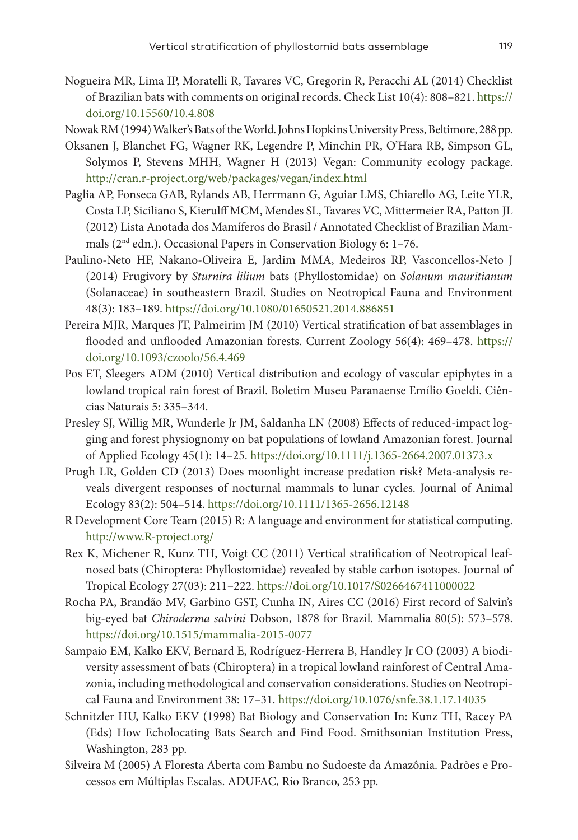- Nogueira MR, Lima IP, Moratelli R, Tavares VC, Gregorin R, Peracchi AL (2014) Checklist of Brazilian bats with comments on original records. Check List 10(4): 808–821. [https://](https://doi.org/10.15560/10.4.808) [doi.org/10.15560/10.4.808](https://doi.org/10.15560/10.4.808)
- Nowak RM (1994) Walker's Bats of the World. Johns Hopkins University Press, Beltimore, 288 pp.
- Oksanen J, Blanchet FG, Wagner RK, Legendre P, Minchin PR, O'Hara RB, Simpson GL, Solymos P, Stevens MHH, Wagner H (2013) Vegan: Community ecology package. <http://cran.r-project.org/web/packages/vegan/index.html>
- Paglia AP, Fonseca GAB, Rylands AB, Herrmann G, Aguiar LMS, Chiarello AG, Leite YLR, Costa LP, Siciliano S, Kierulff MCM, Mendes SL, Tavares VC, Mittermeier RA, Patton JL (2012) Lista Anotada dos Mamíferos do Brasil / Annotated Checklist of Brazilian Mammals (2nd edn.). Occasional Papers in Conservation Biology 6: 1–76.
- Paulino-Neto HF, Nakano-Oliveira E, Jardim MMA, Medeiros RP, Vasconcellos-Neto J (2014) Frugivory by *Sturnira lilium* bats (Phyllostomidae) on *Solanum mauritianum* (Solanaceae) in southeastern Brazil. Studies on Neotropical Fauna and Environment 48(3): 183–189. <https://doi.org/10.1080/01650521.2014.886851>
- Pereira MJR, Marques JT, Palmeirim JM (2010) Vertical stratification of bat assemblages in flooded and unflooded Amazonian forests. Current Zoology 56(4): 469–478. [https://](https://doi.org/10.1093/czoolo/56.4.469) [doi.org/10.1093/czoolo/56.4.469](https://doi.org/10.1093/czoolo/56.4.469)
- Pos ET, Sleegers ADM (2010) Vertical distribution and ecology of vascular epiphytes in a lowland tropical rain forest of Brazil. Boletim Museu Paranaense Emílio Goeldi. Ciências Naturais 5: 335–344.
- Presley SJ, Willig MR, Wunderle Jr JM, Saldanha LN (2008) Effects of reduced-impact logging and forest physiognomy on bat populations of lowland Amazonian forest. Journal of Applied Ecology 45(1): 14–25. <https://doi.org/10.1111/j.1365-2664.2007.01373.x>
- Prugh LR, Golden CD (2013) Does moonlight increase predation risk? Meta-analysis reveals divergent responses of nocturnal mammals to lunar cycles. Journal of Animal Ecology 83(2): 504–514.<https://doi.org/10.1111/1365-2656.12148>
- R Development Core Team (2015) R: A language and environment for statistical computing. <http://www.R-project.org/>
- Rex K, Michener R, Kunz TH, Voigt CC (2011) Vertical stratification of Neotropical leafnosed bats (Chiroptera: Phyllostomidae) revealed by stable carbon isotopes. Journal of Tropical Ecology 27(03): 211–222.<https://doi.org/10.1017/S0266467411000022>
- Rocha PA, Brandão MV, Garbino GST, Cunha IN, Aires CC (2016) First record of Salvin's big-eyed bat *Chiroderma salvini* Dobson, 1878 for Brazil. Mammalia 80(5): 573–578. <https://doi.org/10.1515/mammalia-2015-0077>
- Sampaio EM, Kalko EKV, Bernard E, Rodríguez-Herrera B, Handley Jr CO (2003) A biodiversity assessment of bats (Chiroptera) in a tropical lowland rainforest of Central Amazonia, including methodological and conservation considerations. Studies on Neotropical Fauna and Environment 38: 17–31.<https://doi.org/10.1076/snfe.38.1.17.14035>
- Schnitzler HU, Kalko EKV (1998) Bat Biology and Conservation In: Kunz TH, Racey PA (Eds) How Echolocating Bats Search and Find Food. Smithsonian Institution Press, Washington, 283 pp.
- Silveira M (2005) A Floresta Aberta com Bambu no Sudoeste da Amazônia. Padrões e Processos em Múltiplas Escalas. ADUFAC, Rio Branco, 253 pp.